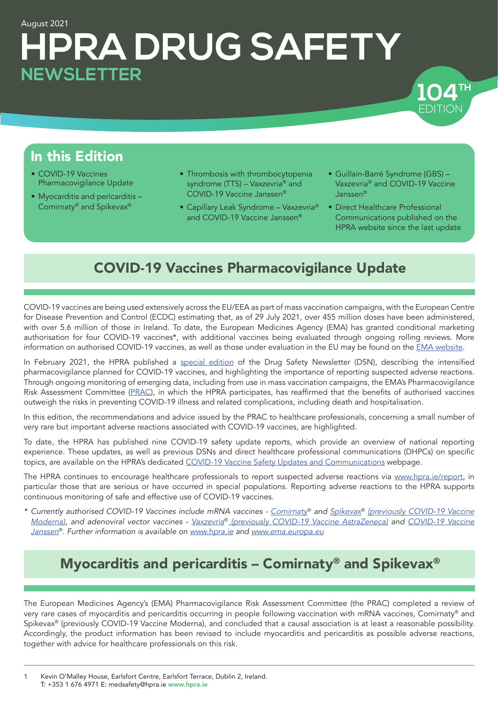# August 2021 **HPRA DRUG SAFETY NEWSLETTER**



- COVID-19 Vaccines Pharmacovigilance Update
- Myocarditis and pericarditis Comirnaty® and Spikevax®
- Thrombosis with thrombocytopenia syndrome (TTS) – Vaxzevria® and COVID-19 Vaccine Janssen®
- Capillary Leak Syndrome Vaxzevria® and COVID-19 Vaccine Janssen®
- Guillain-Barré Syndrome (GBS) Vaxzevria® and COVID-19 Vaccine Janssen®

EDITION

EDITION **TH 104**

• Direct Healthcare Professional Communications published on the HPRA website since the last update

## COVID-19 Vaccines Pharmacovigilance Update

COVID-19 vaccines are being used extensively across the EU/EEA as part of mass vaccination campaigns, with the European Centre for Disease Prevention and Control (ECDC) estimating that, as of 29 July 2021, over 455 million doses have been administered, with over 5.6 million of those in Ireland. To date, the European Medicines Agency (EMA) has granted conditional marketing authorisation for four COVID-19 vaccines\*, with additional vaccines being evaluated through ongoing rolling reviews. More information on authorised COVID-19 vaccines, as well as those under evaluation in the EU may be found on the [EMA website](https://www.ema.europa.eu/en/human-regulatory/overview/public-health-threats/coronavirus-disease-covid-19/treatments-vaccines/covid-19-vaccines).

In February 2021, the HPRA published a [special edition](https://www.hpra.ie/docs/default-source/publications-forms/newsletters/hpra-drug-safety-newsletter-edition-101.pdf?Status=Master&sfvrsn=5) of the Drug Safety Newsletter (DSN), describing the intensified pharmacovigilance planned for COVID-19 vaccines, and highlighting the importance of reporting suspected adverse reactions. Through ongoing monitoring of emerging data, including from use in mass vaccination campaigns, the EMA's Pharmacovigilance Risk Assessment Committee [\(PRAC](https://www.ema.europa.eu/en/committees/pharmacovigilance-risk-assessment-committee-prac)), in which the HPRA participates, has reaffirmed that the benefits of authorised vaccines outweigh the risks in preventing COVID-19 illness and related complications, including death and hospitalisation.

In this edition, the recommendations and advice issued by the PRAC to healthcare professionals, concerning a small number of very rare but important adverse reactions associated with COVID-19 vaccines, are highlighted.

To date, the HPRA has published nine COVID-19 safety update reports, which provide an overview of national reporting experience. These updates, as well as previous DSNs and direct healthcare professional communications (DHPCs) on specific topics, are available on the HPRA's dedicated [COVID-19 Vaccine Safety Updates and Communications](http://www.hpra.ie/homepage/medicines/covid-19-updates/covid-19-vaccine-communications) webpage.

The HPRA continues to encourage healthcare professionals to report suspected adverse reactions via [www.hpra.ie/report](http://www.hpra.ie/homepage/about-us/report-an-issue), in particular those that are serious or have occurred in special populations. Reporting adverse reactions to the HPRA supports continuous monitoring of safe and effective use of COVID-19 vaccines.

*\* Currently authorised COVID-19 Vaccines include mRNA vaccines - [Comirnaty](https://www.ema.europa.eu/en/medicines/human/EPAR/comirnaty)*® *and [Spikevax](https://www.ema.europa.eu/en/medicines/human/EPAR/spikevax-previously-covid-19-vaccine-moderna)*® *[\(previously COVID-19 Vaccine](https://www.ema.europa.eu/en/medicines/human/EPAR/spikevax-previously-covid-19-vaccine-moderna) [Moderna\)](https://www.ema.europa.eu/en/medicines/human/EPAR/spikevax-previously-covid-19-vaccine-moderna), and adenoviral vector vaccines - Vaxzevria*® *[\(previously COVID-19 Vaccine AstraZeneca\)](https://www.ema.europa.eu/en/medicines/human/EPAR/vaxzevria-previously-covid-19-vaccine-astrazeneca) and [COVID-19 Vaccine](https://www.ema.europa.eu/en/medicines/human/EPAR/covid-19-vaccine-janssen) [Janssen](https://www.ema.europa.eu/en/medicines/human/EPAR/covid-19-vaccine-janssen)*®*. Further information is available on [www.hpra.ie](https://www.hpra.ie) and [www.ema.europa.eu](https://www.ema.europa.eu/en)*

## Myocarditis and pericarditis – Comirnaty® and Spikevax®

The European Medicines Agency's (EMA) Pharmacovigilance Risk Assessment Committee (the PRAC) completed a review of very rare cases of myocarditis and pericarditis occurring in people following vaccination with mRNA vaccines, Comirnaty® and Spikevax® (previously COVID-19 Vaccine Moderna), and concluded that a causal association is at least a reasonable possibility. Accordingly, the product information has been revised to include myocarditis and pericarditis as possible adverse reactions, together with advice for healthcare professionals on this risk.

1 Kevin O'Malley House, Earlsfort Centre, Earlsfort Terrace, Dublin 2, Ireland. T: +353 1 676 4971 E: medsafety@hpra.ie [www.hpra.ie](http://www.hpra.ie)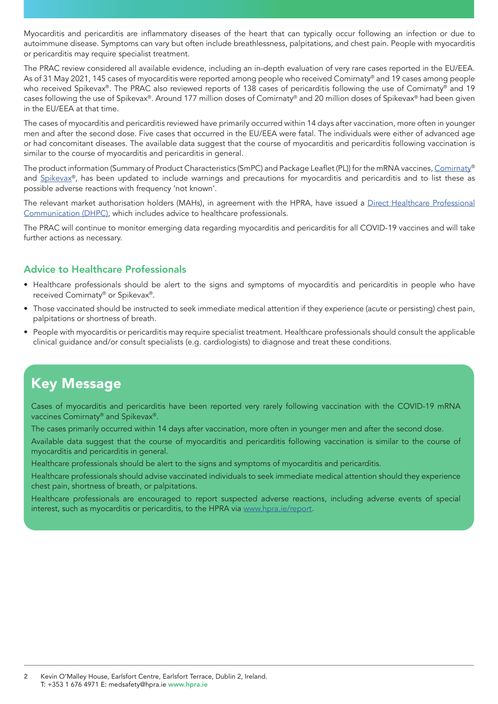Myocarditis and pericarditis are inflammatory diseases of the heart that can typically occur following an infection or due to autoimmune disease. Symptoms can vary but often include breathlessness, palpitations, and chest pain. People with myocarditis or pericarditis may require specialist treatment.

The PRAC review considered all available evidence, including an in-depth evaluation of very rare cases reported in the EU/EEA. As of 31 May 2021, 145 cases of myocarditis were reported among people who received Comirnaty® and 19 cases among people who received Spikevax®. The PRAC also reviewed reports of 138 cases of pericarditis following the use of Comirnaty® and 19 cases following the use of Spikevax®. Around 177 million doses of Comirnaty® and 20 million doses of Spikevax® had been given in the EU/EEA at that time.

The cases of myocarditis and pericarditis reviewed have primarily occurred within 14 days after vaccination, more often in younger men and after the second dose. Five cases that occurred in the EU/EEA were fatal. The individuals were either of advanced age or had concomitant diseases. The available data suggest that the course of myocarditis and pericarditis following vaccination is similar to the course of myocarditis and pericarditis in general.

The product information (Summary of Product Characteristics (SmPC) and Package Leaflet (PL)) for the mRNA vaccines, [Comirnaty®](https://www.ema.europa.eu/en/medicines/human/EPAR/comirnaty#product-information-section) and [Spikevax®](https://www.ema.europa.eu/en/medicines/human/EPAR/spikevax-previously-covid-19-vaccine-moderna#product-information-section), has been updated to include warnings and precautions for myocarditis and pericarditis and to list these as possible adverse reactions with frequency 'not known'.

The relevant market authorisation holders (MAHs), in agreement with the HPRA, have issued a [Direct Healthcare Professional](https://www.hpra.ie/docs/default-source/default-document-library/important-safety-information---covid-19-mrna-vaccines-comirnaty-and-spikevax00f10f2697826eee9b55ff00008c97d0.pdf?sfvrsn=0) [Communication \(DHPC\)](https://www.hpra.ie/docs/default-source/default-document-library/important-safety-information---covid-19-mrna-vaccines-comirnaty-and-spikevax00f10f2697826eee9b55ff00008c97d0.pdf?sfvrsn=0), which includes advice to healthcare professionals.

The PRAC will continue to monitor emerging data regarding myocarditis and pericarditis for all COVID-19 vaccines and will take further actions as necessary.

### Advice to Healthcare Professionals

- Healthcare professionals should be alert to the signs and symptoms of myocarditis and pericarditis in people who have received Comirnaty® or Spikevax®.
- Those vaccinated should be instructed to seek immediate medical attention if they experience (acute or persisting) chest pain, palpitations or shortness of breath.
- People with myocarditis or pericarditis may require specialist treatment. Healthcare professionals should consult the applicable clinical guidance and/or consult specialists (e.g. cardiologists) to diagnose and treat these conditions.

### Key Message

Cases of myocarditis and pericarditis have been reported very rarely following vaccination with the COVID-19 mRNA vaccines Comirnaty® and Spikevax®.

The cases primarily occurred within 14 days after vaccination, more often in younger men and after the second dose.

Available data suggest that the course of myocarditis and pericarditis following vaccination is similar to the course of myocarditis and pericarditis in general.

Healthcare professionals should be alert to the signs and symptoms of myocarditis and pericarditis.

Healthcare professionals should advise vaccinated individuals to seek immediate medical attention should they experience chest pain, shortness of breath, or palpitations.

Healthcare professionals are encouraged to report suspected adverse reactions, including adverse events of special interest, such as myocarditis or pericarditis, to the HPRA via [www.hpra.ie/report.](http://www.hpra.ie/homepage/about-us/report-an-issue)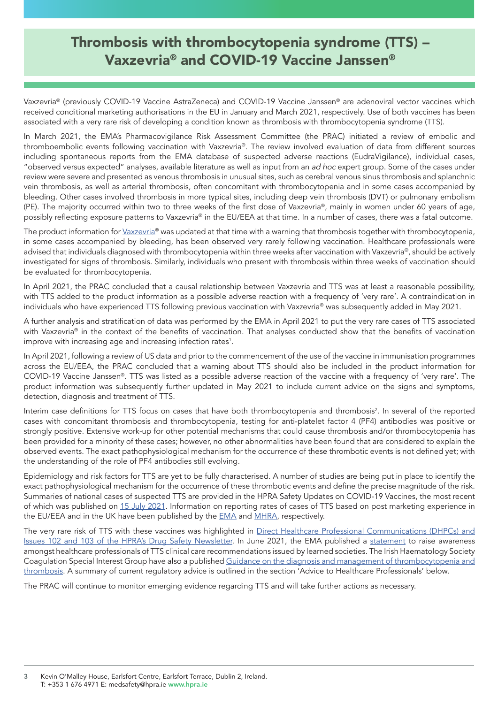## Thrombosis with thrombocytopenia syndrome (TTS) – Vaxzevria® and COVID-19 Vaccine Janssen®

Vaxzevria® (previously COVID-19 Vaccine AstraZeneca) and COVID-19 Vaccine Janssen® are adenoviral vector vaccines which received conditional marketing authorisations in the EU in January and March 2021, respectively. Use of both vaccines has been associated with a very rare risk of developing a condition known as thrombosis with thrombocytopenia syndrome (TTS).

In March 2021, the EMA's Pharmacovigilance Risk Assessment Committee (the PRAC) initiated a review of embolic and thromboembolic events following vaccination with Vaxzevria®. The review involved evaluation of data from different sources including spontaneous reports from the EMA database of suspected adverse reactions (EudraVigilance), individual cases, "observed versus expected" analyses, available literature as well as input from an *ad hoc* expert group. Some of the cases under review were severe and presented as venous thrombosis in unusual sites, such as cerebral venous sinus thrombosis and splanchnic vein thrombosis, as well as arterial thrombosis, often concomitant with thrombocytopenia and in some cases accompanied by bleeding. Other cases involved thrombosis in more typical sites, including deep vein thrombosis (DVT) or pulmonary embolism (PE). The majority occurred within two to three weeks of the first dose of Vaxzevria®, mainly in women under 60 years of age, possibly reflecting exposure patterns to Vaxzevria® in the EU/EEA at that time. In a number of cases, there was a fatal outcome.

The product information for [Vaxzevria®](https://www.ema.europa.eu/en/medicines/human/EPAR/vaxzevria-previously-covid-19-vaccine-astrazeneca#product-information-section) was updated at that time with a warning that thrombosis together with thrombocytopenia, in some cases accompanied by bleeding, has been observed very rarely following vaccination. Healthcare professionals were advised that individuals diagnosed with thrombocytopenia within three weeks after vaccination with Vaxzevria®, should be actively investigated for signs of thrombosis. Similarly, individuals who present with thrombosis within three weeks of vaccination should be evaluated for thrombocytopenia.

In April 2021, the PRAC concluded that a causal relationship between Vaxzevria and TTS was at least a reasonable possibility, with TTS added to the product information as a possible adverse reaction with a frequency of 'very rare'. A contraindication in individuals who have experienced TTS following previous vaccination with Vaxzevria® was subsequently added in May 2021.

A further analysis and stratification of data was performed by the EMA in April 2021 to put the very rare cases of TTS associated with Vaxzevria® in the context of the benefits of vaccination. That analyses conducted show that the benefits of vaccination improve with increasing age and increasing infection rates<sup>1</sup>.

In April 2021, following a review of US data and prior to the commencement of the use of the vaccine in immunisation programmes across the EU/EEA, the PRAC concluded that a warning about TTS should also be included in the product information for COVID-19 Vaccine Janssen®. TTS was listed as a possible adverse reaction of the vaccine with a frequency of 'very rare'. The product information was subsequently further updated in May 2021 to include current advice on the signs and symptoms, detection, diagnosis and treatment of TTS.

Interim case definitions for TTS focus on cases that have both thrombocytopenia and thrombosis<sup>2</sup>. In several of the reported cases with concomitant thrombosis and thrombocytopenia, testing for anti-platelet factor 4 (PF4) antibodies was positive or strongly positive. Extensive work-up for other potential mechanisms that could cause thrombosis and/or thrombocytopenia has been provided for a minority of these cases; however, no other abnormalities have been found that are considered to explain the observed events. The exact pathophysiological mechanism for the occurrence of these thrombotic events is not defined yet; with the understanding of the role of PF4 antibodies still evolving.

Epidemiology and risk factors for TTS are yet to be fully characterised. A number of studies are being put in place to identify the exact pathophysiological mechanism for the occurrence of these thrombotic events and define the precise magnitude of the risk. Summaries of national cases of suspected TTS are provided in the HPRA Safety Updates on COVID-19 Vaccines, the most recent of which was published on [15 July 2021.](https://www.hpra.ie/docs/default-source/default-document-library/safety-update-covid-19-vaccines-overview-of-national-reporting-experience-(15072021).pdf?sfvrsn=4) Information on reporting rates of cases of TTS based on post marketing experience in the EU/EEA and in the UK have been published by the [EMA](https://www.ema.europa.eu/en/documents/referral/use-vaxzevria-prevent-covid-19-article-53-procedure-assessment-report_en.pdf) and [MHRA](https://www.gov.uk/government/publications/coronavirus-covid-19-vaccine-adverse-reactions/coronavirus-vaccine-summary-of-yellow-card-reporting), respectively.

The very rare risk of TTS with these vaccines was highlighted in [Direct Healthcare Professional Communications \(DHPCs\) and](http://www.hpra.ie/homepage/medicines/covid-19-updates/covid-19-vaccine-communications) [Issues 102 and 103 of the HPRA's Drug Safety Newsletter.](http://www.hpra.ie/homepage/medicines/covid-19-updates/covid-19-vaccine-communications) In June 2021, the EMA published a [statement](https://www.ema.europa.eu/en/news/ema-raises-awareness-clinical-care-recommendations-manage-suspected-thrombosis-thrombocytopenia) to raise awareness amongst healthcare professionals of TTS clinical care recommendations issued by learned societies. The Irish Haematology Society Coagulation Special Interest Group have also a published [Guidance on the diagnosis and management of thrombocytopenia and](https://hse.drsteevenslibrary.ie/ld.php?content_id=33558658) [thrombosis](https://hse.drsteevenslibrary.ie/ld.php?content_id=33558658). A summary of current regulatory advice is outlined in the section 'Advice to Healthcare Professionals' below.

The PRAC will continue to monitor emerging evidence regarding TTS and will take further actions as necessary.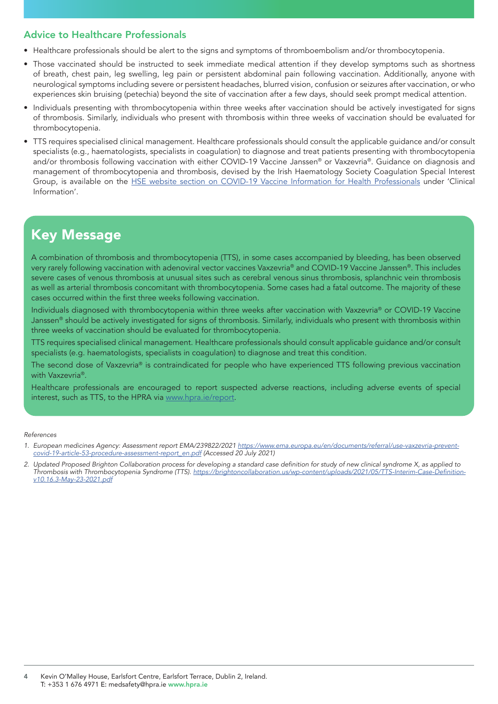### Advice to Healthcare Professionals

- Healthcare professionals should be alert to the signs and symptoms of thromboembolism and/or thrombocytopenia.
- Those vaccinated should be instructed to seek immediate medical attention if they develop symptoms such as shortness of breath, chest pain, leg swelling, leg pain or persistent abdominal pain following vaccination. Additionally, anyone with neurological symptoms including severe or persistent headaches, blurred vision, confusion or seizures after vaccination, or who experiences skin bruising (petechia) beyond the site of vaccination after a few days, should seek prompt medical attention.
- Individuals presenting with thrombocytopenia within three weeks after vaccination should be actively investigated for signs of thrombosis. Similarly, individuals who present with thrombosis within three weeks of vaccination should be evaluated for thrombocytopenia.
- TTS requires specialised clinical management. Healthcare professionals should consult the applicable guidance and/or consult specialists (e.g., haematologists, specialists in coagulation) to diagnose and treat patients presenting with thrombocytopenia and/or thrombosis following vaccination with either COVID-19 Vaccine Janssen® or Vaxzevria®. Guidance on diagnosis and management of thrombocytopenia and thrombosis, devised by the Irish Haematology Society Coagulation Special Interest Group, is available on the [HSE website section on COVID-19 Vaccine Information for Health Professionals](https://www.hse.ie/eng/health/immunisation/hcpinfo/covid19vaccineinfo4hps/) under 'Clinical Information'.

## Key Message

A combination of thrombosis and thrombocytopenia (TTS), in some cases accompanied by bleeding, has been observed very rarely following vaccination with adenoviral vector vaccines Vaxzevria® and COVID-19 Vaccine Janssen®. This includes severe cases of venous thrombosis at unusual sites such as cerebral venous sinus thrombosis, splanchnic vein thrombosis as well as arterial thrombosis concomitant with thrombocytopenia. Some cases had a fatal outcome. The majority of these cases occurred within the first three weeks following vaccination.

Individuals diagnosed with thrombocytopenia within three weeks after vaccination with Vaxzevria® or COVID-19 Vaccine Janssen® should be actively investigated for signs of thrombosis. Similarly, individuals who present with thrombosis within three weeks of vaccination should be evaluated for thrombocytopenia.

TTS requires specialised clinical management. Healthcare professionals should consult applicable guidance and/or consult specialists (e.g. haematologists, specialists in coagulation) to diagnose and treat this condition.

The second dose of Vaxzevria® is contraindicated for people who have experienced TTS following previous vaccination with Vaxzevria<sup>®</sup>.

Healthcare professionals are encouraged to report suspected adverse reactions, including adverse events of special interest, such as TTS, to the HPRA via [www.hpra.ie/report.](http://www.hpra.ie/homepage/about-us/report-an-issue)

#### *References*

- *1. European medicines Agency: Assessment report EMA/239822/2021 [https://www.ema.europa.eu/en/documents/referral/use-vaxzevria-prevent](https://www.ema.europa.eu/en/documents/referral/use-vaxzevria-prevent-covid-19-article-53-procedure-assessment-report_en.pdf)[covid-19-article-53-procedure-assessment-report\\_en.pdf](https://www.ema.europa.eu/en/documents/referral/use-vaxzevria-prevent-covid-19-article-53-procedure-assessment-report_en.pdf) (Accessed 20 July 2021)*
- 2. Updated Proposed Brighton Collaboration process for developing a standard case definition for study of new clinical syndrome X, as applied to *Thrombosis with Thrombocytopenia Syndrome (TTS).* [https://brightoncollaboration.us/wp-content/uploads/2021/05/TTS-Interim-Case-Definition](https://brightoncollaboration.us/wp-content/uploads/2021/05/TTS-Interim-Case-Definition-v10.16.3-May-23-2021.pdf)*[v10.16.3-May-23-2021.pdf](https://brightoncollaboration.us/wp-content/uploads/2021/05/TTS-Interim-Case-Definition-v10.16.3-May-23-2021.pdf)*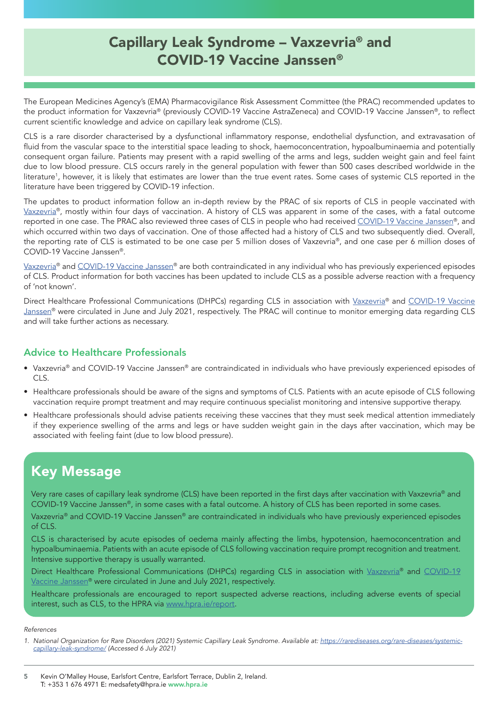## Capillary Leak Syndrome – Vaxzevria® and COVID-19 Vaccine Janssen®

The European Medicines Agency's (EMA) Pharmacovigilance Risk Assessment Committee (the PRAC) recommended updates to the product information for [Vaxzevria®](https://www.ema.europa.eu/en/news/vaxzevria-ema-advises-against-use-people-history-capillary-leak-syndrome) (previously COVID-19 Vaccine AstraZeneca) and [COVID-19 Vaccine Janssen](https://www.ema.europa.eu/en/news/ema-advises-against-use-covid-19-vaccine-janssen-people-history-capillary-leak-syndrome)®, to reflect current scientific knowledge and advice on capillary leak syndrome (CLS).

CLS is a rare disorder characterised by a dysfunctional inflammatory response, endothelial dysfunction, and extravasation of fluid from the vascular space to the interstitial space leading to shock, haemoconcentration, hypoalbuminaemia and potentially consequent organ failure. Patients may present with a rapid swelling of the arms and legs, sudden weight gain and feel faint due to low blood pressure. CLS occurs rarely in the general population with fewer than 500 cases described worldwide in the literature1 , however, it is likely that estimates are lower than the true event rates. Some cases of systemic CLS reported in the literature have been triggered by COVID-19 infection.

The updates to product information follow an in-depth review by the PRAC of six reports of CLS in people vaccinated with [Vaxzevria](https://www.ema.europa.eu/en/news/vaxzevria-ema-advises-against-use-people-history-capillary-leak-syndrome)®, mostly within four days of vaccination. A history of CLS was apparent in some of the cases, with a fatal outcome reported in one case. The PRAC also reviewed three cases of CLS in people who had received [COVID-19 Vaccine Janssen](https://www.ema.europa.eu/en/news/ema-advises-against-use-covid-19-vaccine-janssen-people-history-capillary-leak-syndrome)®, and which occurred within two days of vaccination. One of those affected had a history of CLS and two subsequently died. Overall, the reporting rate of CLS is estimated to be one case per 5 million doses of Vaxzevria®, and one case per 6 million doses of COVID-19 Vaccine Janssen®.

[Vaxzevria](https://www.ema.europa.eu/en/medicines/human/EPAR/vaxzevria-previously-covid-19-vaccine-astrazeneca#product-information-section)® and [COVID-19 Vaccine Janssen](https://www.ema.europa.eu/en/medicines/human/EPAR/covid-19-vaccine-janssen#product-information-section)® are both contraindicated in any individual who has previously experienced episodes of CLS. Product information for both vaccines has been updated to include CLS as a possible adverse reaction with a frequency of 'not known'.

Direct Healthcare Professional Communications (DHPCs) regarding CLS in association with [Vaxzevria®](https://www.hpra.ie/docs/default-source/default-document-library/important-safety-information---vaxzevria---covid-19-vaccine-astrazeneca.pdf?sfvrsn=0) and [COVID-19 Vaccine](https://www.hpra.ie/docs/default-source/default-document-library/important-safety-information---covid-19-vaccine-janssen4cf20f2697826eee9b55ff00008c97d0.pdf?sfvrsn=0) Janssen<sup>®</sup> were circulated in June and July 2021, respectively. The PRAC will continue to monitor emerging data regarding CLS and will take further actions as necessary.

### Advice to Healthcare Professionals

- Vaxzevria® and COVID-19 Vaccine Janssen® are contraindicated in individuals who have previously experienced episodes of CLS.
- Healthcare professionals should be aware of the signs and symptoms of CLS. Patients with an acute episode of CLS following vaccination require prompt treatment and may require continuous specialist monitoring and intensive supportive therapy.
- Healthcare professionals should advise patients receiving these vaccines that they must seek medical attention immediately if they experience swelling of the arms and legs or have sudden weight gain in the days after vaccination, which may be associated with feeling faint (due to low blood pressure).

## Key Message

Very rare cases of capillary leak syndrome (CLS) have been reported in the first days after vaccination with Vaxzevria® and COVID-19 Vaccine Janssen®, in some cases with a fatal outcome. A history of CLS has been reported in some cases.

Vaxzevria® and COVID-19 Vaccine Janssen® are contraindicated in individuals who have previously experienced episodes of CLS.

CLS is characterised by acute episodes of oedema mainly affecting the limbs, hypotension, haemoconcentration and hypoalbuminaemia. Patients with an acute episode of CLS following vaccination require prompt recognition and treatment. Intensive supportive therapy is usually warranted.

Direct Healthcare Professional Communications (DHPCs) regarding CLS in association with [Vaxzevria®](https://www.hpra.ie/docs/default-source/default-document-library/important-safety-information---vaxzevria---covid-19-vaccine-astrazeneca.pdf?sfvrsn=0) and COVID-19 [Vaccine Janssen®](https://www.hpra.ie/docs/default-source/default-document-library/important-safety-information---covid-19-vaccine-janssen4cf20f2697826eee9b55ff00008c97d0.pdf?sfvrsn=0) were circulated in June and July 2021, respectively.

Healthcare professionals are encouraged to report suspected adverse reactions, including adverse events of special interest, such as CLS, to the HPRA via [www.hpra.ie/report.](http://www.hpra.ie/homepage/about-us/report-an-issue)

*References*

5 Kevin O'Malley House, Earlsfort Centre, Earlsfort Terrace, Dublin 2, Ireland. T: +353 1 676 4971 E: medsafety@hpra.ie [www.hpra.ie](http://www.hpra.ie)

<sup>1.</sup> National Organization for Rare Disorders (2021) Systemic Capillary Leak Syndrome. Available at: [https://rarediseases.org/rare-diseases/systemic](https://rarediseases.org/rare-diseases/systemic-capillary-leak-syndrome/)*[capillary-leak-syndrome/](https://rarediseases.org/rare-diseases/systemic-capillary-leak-syndrome/) (Accessed 6 July 2021)*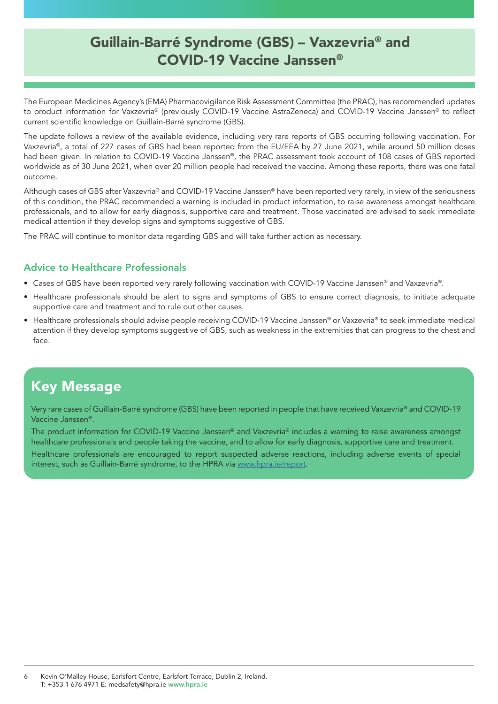## Guillain-Barré Syndrome (GBS) – Vaxzevria® and COVID-19 Vaccine Janssen®

The European Medicines Agency's (EMA) Pharmacovigilance Risk Assessment Committee (the PRAC), has recommended updates to product information for Vaxzevria® (previously COVID-19 Vaccine AstraZeneca) and COVID-19 Vaccine Janssen® to reflect current scientific knowledge on Guillain-Barré syndrome (GBS).

The update follows a review of the available evidence, including very rare reports of GBS occurring following vaccination. For Vaxzevria®, a total of 227 cases of GBS had been reported from the EU/EEA by 27 June 2021, while around 50 million doses had been given. In relation to COVID-19 Vaccine Janssen®, the PRAC assessment took account of 108 cases of GBS reported worldwide as of 30 June 2021, when over 20 million people had received the vaccine. Among these reports, there was one fatal outcome.

Although cases of GBS after Vaxzevria® and COVID-19 Vaccine Janssen® have been reported very rarely, in view of the seriousness of this condition, the PRAC recommended a warning is included in product information, to raise awareness amongst healthcare professionals, and to allow for early diagnosis, supportive care and treatment. Those vaccinated are advised to seek immediate medical attention if they develop signs and symptoms suggestive of GBS.

The PRAC will continue to monitor data regarding GBS and will take further action as necessary.

### Advice to Healthcare Professionals

- Cases of GBS have been reported very rarely following vaccination with COVID-19 Vaccine Janssen® and Vaxzevria®.
- Healthcare professionals should be alert to signs and symptoms of GBS to ensure correct diagnosis, to initiate adequate supportive care and treatment and to rule out other causes.
- Healthcare professionals should advise people receiving COVID-19 Vaccine Janssen® or Vaxzevria® to seek immediate medical attention if they develop symptoms suggestive of GBS, such as weakness in the extremities that can progress to the chest and face.

### Key Message

Very rare cases of Guillain-Barré syndrome (GBS) have been reported in people that have received Vaxzevria® and COVID-19 Vaccine Janssen®.

The product information for COVID-19 Vaccine Janssen® and Vaxzevria® includes a warning to raise awareness amongst healthcare professionals and people taking the vaccine, and to allow for early diagnosis, supportive care and treatment.

Healthcare professionals are encouraged to report suspected adverse reactions, including adverse events of special interest, such as Guillain-Barré syndrome, to the HPRA via [www.hpra.ie/report.](http://www.hpra.ie/homepage/about-us/report-an-issue)